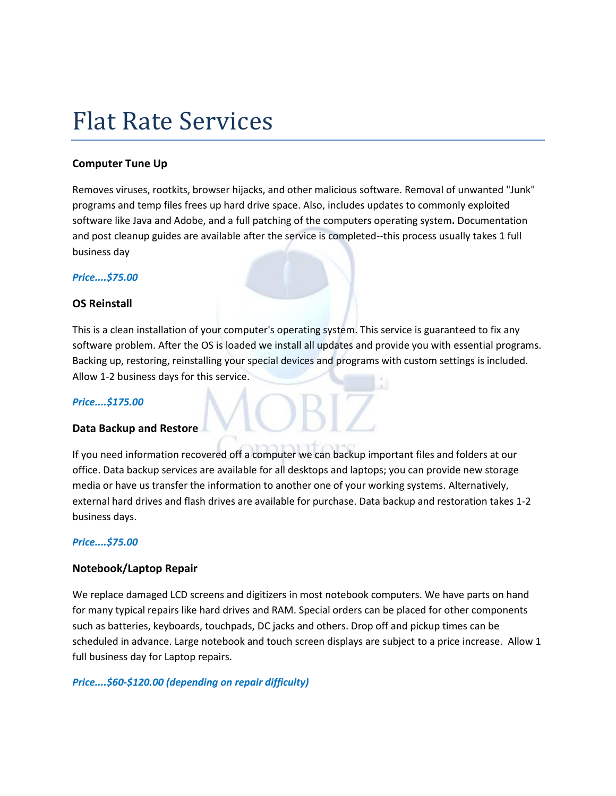## Flat Rate Services

#### **Computer Tune Up**

Removes viruses, rootkits, browser hijacks, and other malicious software. Removal of unwanted "Junk" programs and temp files frees up hard drive space. Also, includes updates to commonly exploited software like Java and Adobe, and a full patching of the computers operating system**.** Documentation and post cleanup guides are available after the service is completed--this process usually takes 1 full business day

#### *Price....\$75.00*

#### **OS Reinstall**

This is a clean installation of your computer's operating system. This service is guaranteed to fix any software problem. After the OS is loaded we install all updates and provide you with essential programs. Backing up, restoring, reinstalling your special devices and programs with custom settings is included. Allow 1-2 business days for this service.

#### *Price....\$175.00*

#### **Data Backup and Restore**

If you need information recovered off a computer we can backup important files and folders at our office. Data backup services are available for all desktops and laptops; you can provide new storage media or have us transfer the information to another one of your working systems. Alternatively, external hard drives and flash drives are available for purchase. Data backup and restoration takes 1-2 business days.

#### *Price....\$75.00*

#### **Notebook/Laptop Repair**

We replace damaged LCD screens and digitizers in most notebook computers. We have parts on hand for many typical repairs like hard drives and RAM. Special orders can be placed for other components such as batteries, keyboards, touchpads, DC jacks and others. Drop off and pickup times can be scheduled in advance. Large notebook and touch screen displays are subject to a price increase. Allow 1 full business day for Laptop repairs.

#### *Price....\$60-\$120.00 (depending on repair difficulty)*